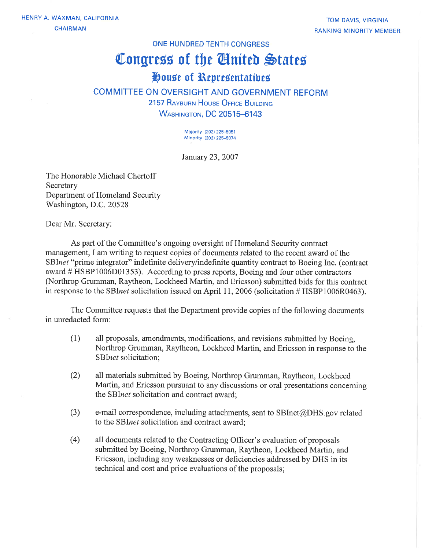## ONE HUNDRED TENTH CONGRESS

## Congress of the *Congress*

## **Bouee of 3Repreeentatibee**

## COMMITEE ON OVERSIGHT AND GOVERNMENT REFORM

2157 RAYBURN HOUSE OFFICE BUILDING **WASHINGTON, DC 20515-6143** 

> Majority **(202) 225-5051**  Minority **(202) 225-5074**

January 23,2007

The Honorable Michael Chertoff Secretary Department of Homeland Security Washington, D.C. 20528

Dear Mr. Secretary:

As part of the Committee's ongoing oversight of Homeland Security contract management, I am writing to request copies of documents related to the recent award of the SBInet "prime integrator" indefinite delivery/indefinite quantity contract to Boeing Inc. (contract award # HSBP1006D01353). According to press reports, Boeing and four other contractors (Northrop Grumman, Raytheon, Lockheed Martin, and Ericsson) submitted bids for this contract in response to the SBInet solicitation issued on April 11, 2006 (solicitation # HSBP1006R0463).

The Committee requests that the Department provide copies of the following documents in unredacted form:

- $(1)$ all proposals, amendments, modifications, and revisions submitted by Boeing, Northrop Grumman, Raytheon, Lockheed Martin, and Ericsson in response to the SBInet solicitation;
- $(2)$ all materials submitted by Boeing, Northrop Grumman, Raytheon, Lockheed Martin, and Ericsson pursuant to any discussions or oral presentations concerning the SBInet solicitation and contract award;
- $(3)$ e-mail correspondence, including attachments, sent to SBInet@DHS.gov related to the SBInet solicitation and contract award;
- $(4)$ all documents related to the Contracting Officer's evaluation of proposals submitted by Boeing, Northrop Grumman, Raytheon, Lockheed Martin, and Ericsson, including any weaknesses or deficiencies addressed by DHS in its technical and cost and price evaluations of the proposals;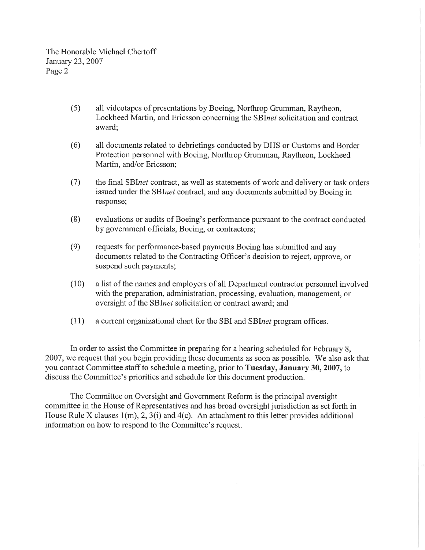The Honorable Michael Chertoff January 23,2007 Page 2

- $(5)$ all videotapes of presentations by Boeing, Northrop Grumman, Raytheon, Lockheed Martin, and Ericsson concerning the SBInet solicitation and contract award;
- $(6)$ all documents related to debriefings conducted by DHS or Customs and Border Protection personnel with Boeing, Northrop Grumman, Raytheon, Lockheed Martin, and/or Ericsson;
- $(7)$ the final SBInet contract, as well as statements of work and delivery or task orders issued under the SBInet contract, and any documents submitted by Boeing in response;
- evaluations or audits of Boeing's performance pursuant to the contract conducted  $(8)$ by government officials, Boeing, or contractors;
- $(9)$ requests for performance-based payments Boeing has submitted and any documents related to the Contracting Officer's decision to reject, approve, or suspend such payments;
- $(10)$ a list of the names and employers of all Department contractor personnel involved with the preparation, administration, processing, evaluation, management, or oversight of the SBInet solicitation or contract award; and
- $(11)$ a current organizational chart for the SBI and SBInet program offices.

In order to assist the Committee in preparing for a hearing scheduled for February 8, 2007, we request that you begin providing these documents as soon as possible. We also ask that you contact Committee staff to schedule a meeting, prior to **Tuesday, January 30,2007,** to discuss the Committee's priorities and schedule for this document production.

The Committee on Oversight and Government Reform is the principal oversight committee in the House of Representatives and has broad oversight jurisdiction as set forth in House Rule X clauses  $1(m)$ , 2,  $3(i)$  and  $4(c)$ . An attachment to this letter provides additional information on how to respond to the Committee's request.